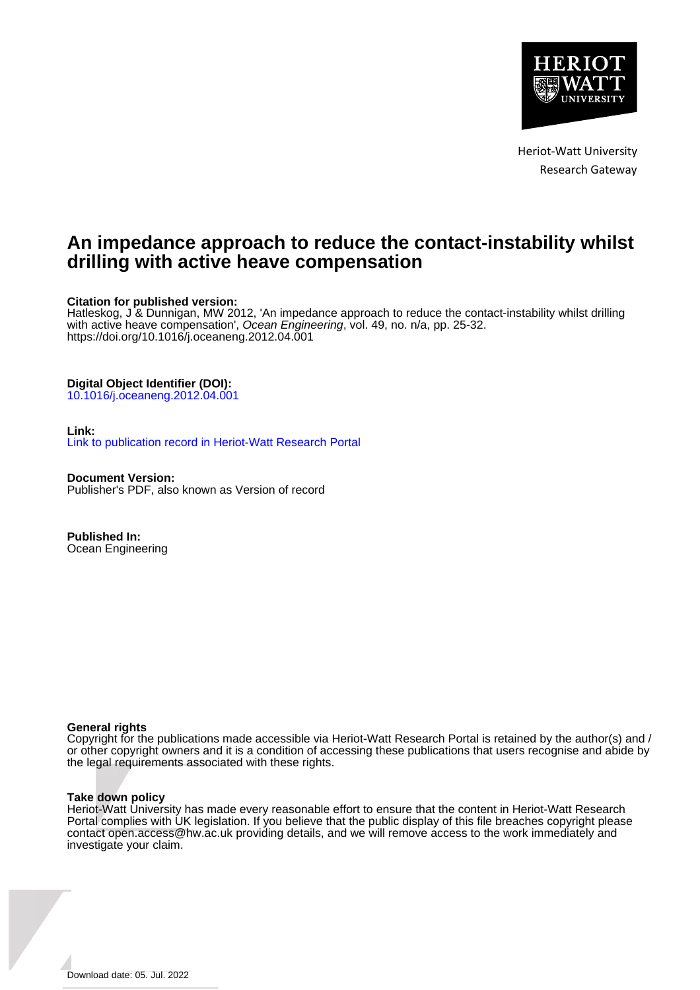

Heriot-Watt University Research Gateway

# **An impedance approach to reduce the contact-instability whilst drilling with active heave compensation**

# **Citation for published version:**

Hatleskog, J & Dunnigan, MW 2012, 'An impedance approach to reduce the contact-instability whilst drilling with active heave compensation', Ocean Engineering, vol. 49, no. n/a, pp. 25-32. <https://doi.org/10.1016/j.oceaneng.2012.04.001>

# **Digital Object Identifier (DOI):**

[10.1016/j.oceaneng.2012.04.001](https://doi.org/10.1016/j.oceaneng.2012.04.001)

# **Link:**

[Link to publication record in Heriot-Watt Research Portal](https://researchportal.hw.ac.uk/en/publications/22432139-5b34-4e40-ac67-c78f5ea5c4df)

**Document Version:** Publisher's PDF, also known as Version of record

**Published In:** Ocean Engineering

## **General rights**

Copyright for the publications made accessible via Heriot-Watt Research Portal is retained by the author(s) and / or other copyright owners and it is a condition of accessing these publications that users recognise and abide by the legal requirements associated with these rights.

## **Take down policy**

Heriot-Watt University has made every reasonable effort to ensure that the content in Heriot-Watt Research Portal complies with UK legislation. If you believe that the public display of this file breaches copyright please contact open.access@hw.ac.uk providing details, and we will remove access to the work immediately and investigate your claim.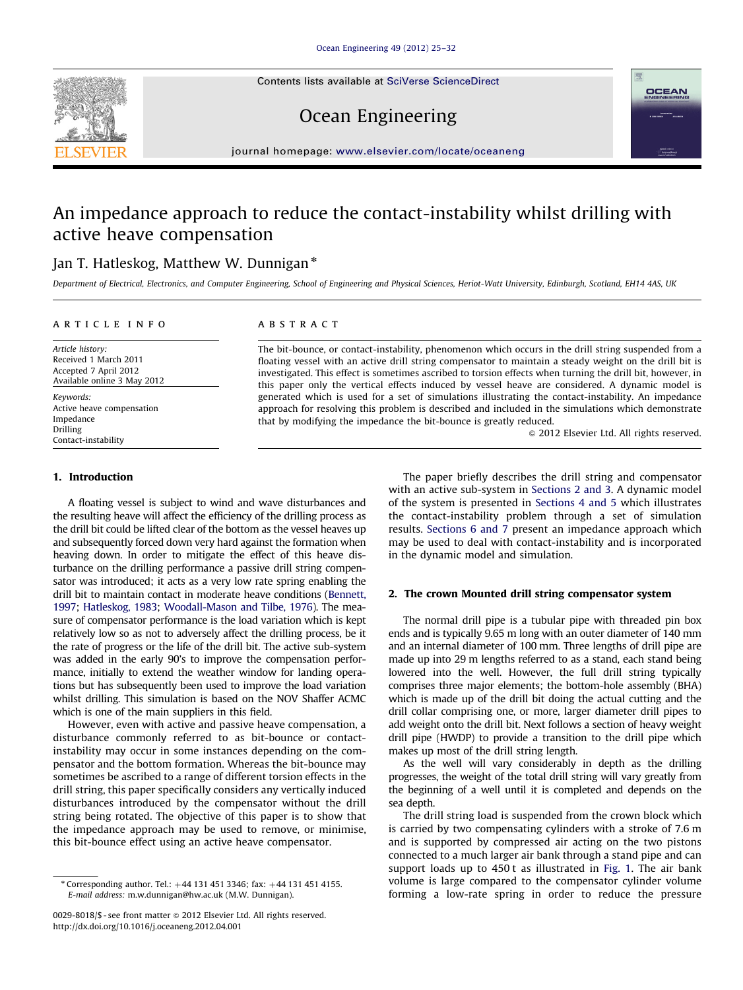Contents lists available at [SciVerse ScienceDirect](www.elsevier.com/locate/oceaneng)





# Ocean Engineering

journal homepage: <www.elsevier.com/locate/oceaneng>

# An impedance approach to reduce the contact-instability whilst drilling with active heave compensation

# Jan T. Hatleskog, Matthew W. Dunnigan  $*$

Department of Electrical, Electronics, and Computer Engineering, School of Engineering and Physical Sciences, Heriot-Watt University, Edinburgh, Scotland, EH14 4AS, UK

### article info

Article history: Received 1 March 2011 Accepted 7 April 2012 Available online 3 May 2012

Keywords: Active heave compensation Impedance Drilling Contact-instability

# ABSTRACT

The bit-bounce, or contact-instability, phenomenon which occurs in the drill string suspended from a floating vessel with an active drill string compensator to maintain a steady weight on the drill bit is investigated. This effect is sometimes ascribed to torsion effects when turning the drill bit, however, in this paper only the vertical effects induced by vessel heave are considered. A dynamic model is generated which is used for a set of simulations illustrating the contact-instability. An impedance approach for resolving this problem is described and included in the simulations which demonstrate that by modifying the impedance the bit-bounce is greatly reduced.

 $\odot$  2012 Elsevier Ltd. All rights reserved.

## 1. Introduction

A floating vessel is subject to wind and wave disturbances and the resulting heave will affect the efficiency of the drilling process as the drill bit could be lifted clear of the bottom as the vessel heaves up and subsequently forced down very hard against the formation when heaving down. In order to mitigate the effect of this heave disturbance on the drilling performance a passive drill string compensator was introduced; it acts as a very low rate spring enabling the drill bit to maintain contact in moderate heave conditions [\(Bennett,](#page-8-0) [1997](#page-8-0); [Hatleskog, 1983;](#page-8-0) [Woodall-Mason and Tilbe, 1976\)](#page-8-0). The measure of compensator performance is the load variation which is kept relatively low so as not to adversely affect the drilling process, be it the rate of progress or the life of the drill bit. The active sub-system was added in the early 90's to improve the compensation performance, initially to extend the weather window for landing operations but has subsequently been used to improve the load variation whilst drilling. This simulation is based on the NOV Shaffer ACMC which is one of the main suppliers in this field.

However, even with active and passive heave compensation, a disturbance commonly referred to as bit-bounce or contactinstability may occur in some instances depending on the compensator and the bottom formation. Whereas the bit-bounce may sometimes be ascribed to a range of different torsion effects in the drill string, this paper specifically considers any vertically induced disturbances introduced by the compensator without the drill string being rotated. The objective of this paper is to show that the impedance approach may be used to remove, or minimise, this bit-bounce effect using an active heave compensator.

The paper briefly describes the drill string and compensator with an active sub-system in Sections 2 and 3. A dynamic model of the system is presented in [Sections 4 and 5](#page-2-0) which illustrates the contact-instability problem through a set of simulation results. [Sections 6 and 7](#page-5-0) present an impedance approach which may be used to deal with contact-instability and is incorporated in the dynamic model and simulation.

## 2. The crown Mounted drill string compensator system

The normal drill pipe is a tubular pipe with threaded pin box ends and is typically 9.65 m long with an outer diameter of 140 mm and an internal diameter of 100 mm. Three lengths of drill pipe are made up into 29 m lengths referred to as a stand, each stand being lowered into the well. However, the full drill string typically comprises three major elements; the bottom-hole assembly (BHA) which is made up of the drill bit doing the actual cutting and the drill collar comprising one, or more, larger diameter drill pipes to add weight onto the drill bit. Next follows a section of heavy weight drill pipe (HWDP) to provide a transition to the drill pipe which makes up most of the drill string length.

As the well will vary considerably in depth as the drilling progresses, the weight of the total drill string will vary greatly from the beginning of a well until it is completed and depends on the sea depth.

The drill string load is suspended from the crown block which is carried by two compensating cylinders with a stroke of 7.6 m and is supported by compressed air acting on the two pistons connected to a much larger air bank through a stand pipe and can support loads up to 450 t as illustrated in [Fig. 1](#page-2-0). The air bank volume is large compared to the compensator cylinder volume forming a low-rate spring in order to reduce the pressure

 $*$  Corresponding author. Tel.:  $+44$  131 451 3346; fax:  $+44$  131 451 4155. E-mail address: [m.w.dunnigan@hw.ac.uk \(M.W. Dunnigan\)](mailto:m.w.dunnigan@hw.ac.uk).

<sup>0029-8018/\$ -</sup> see front matter @ 2012 Elsevier Ltd. All rights reserved. [http://dx.doi.org/10.1016/j.oceaneng.2012.04.001](dx.doi.org/10.1016/j.oceaneng.2012.04.001)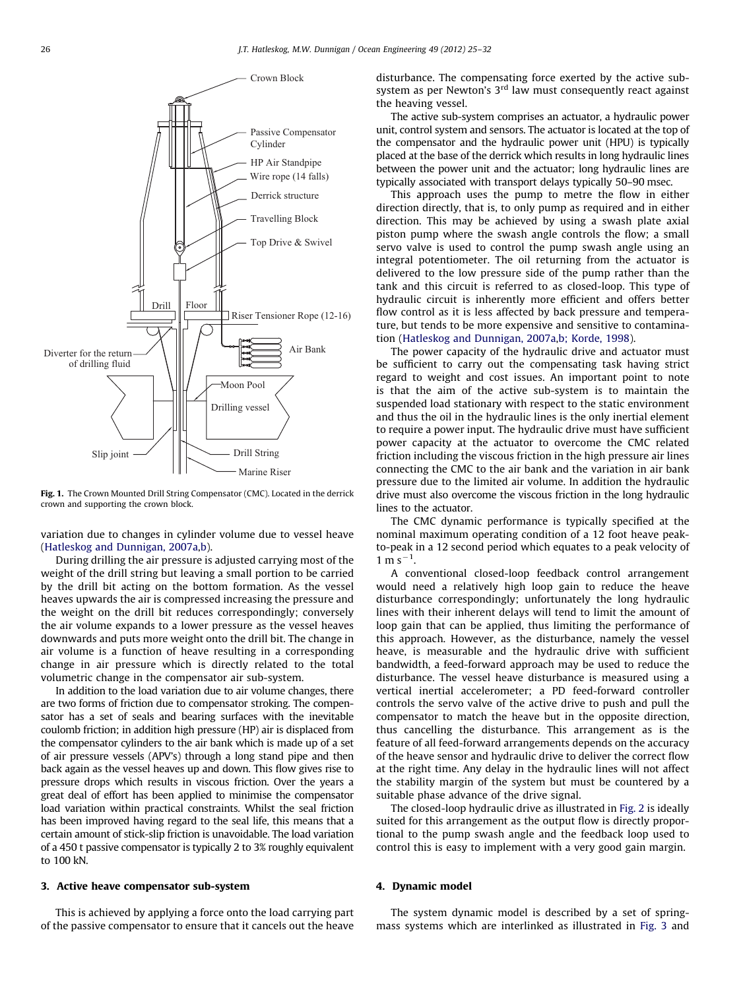<span id="page-2-0"></span>

Fig. 1. The Crown Mounted Drill String Compensator (CMC). Located in the derrick crown and supporting the crown block.

variation due to changes in cylinder volume due to vessel heave ([Hatleskog and Dunnigan, 2007a,b\)](#page-8-0).

During drilling the air pressure is adjusted carrying most of the weight of the drill string but leaving a small portion to be carried by the drill bit acting on the bottom formation. As the vessel heaves upwards the air is compressed increasing the pressure and the weight on the drill bit reduces correspondingly; conversely the air volume expands to a lower pressure as the vessel heaves downwards and puts more weight onto the drill bit. The change in air volume is a function of heave resulting in a corresponding change in air pressure which is directly related to the total volumetric change in the compensator air sub-system.

In addition to the load variation due to air volume changes, there are two forms of friction due to compensator stroking. The compensator has a set of seals and bearing surfaces with the inevitable coulomb friction; in addition high pressure (HP) air is displaced from the compensator cylinders to the air bank which is made up of a set of air pressure vessels (APV's) through a long stand pipe and then back again as the vessel heaves up and down. This flow gives rise to pressure drops which results in viscous friction. Over the years a great deal of effort has been applied to minimise the compensator load variation within practical constraints. Whilst the seal friction has been improved having regard to the seal life, this means that a certain amount of stick-slip friction is unavoidable. The load variation of a 450 t passive compensator is typically 2 to 3% roughly equivalent to 100 kN.

#### 3. Active heave compensator sub-system

This is achieved by applying a force onto the load carrying part of the passive compensator to ensure that it cancels out the heave disturbance. The compensating force exerted by the active subsystem as per Newton's  $3<sup>rd</sup>$  law must consequently react against the heaving vessel.

The active sub-system comprises an actuator, a hydraulic power unit, control system and sensors. The actuator is located at the top of the compensator and the hydraulic power unit (HPU) is typically placed at the base of the derrick which results in long hydraulic lines between the power unit and the actuator; long hydraulic lines are typically associated with transport delays typically 50–90 msec.

This approach uses the pump to metre the flow in either direction directly, that is, to only pump as required and in either direction. This may be achieved by using a swash plate axial piston pump where the swash angle controls the flow; a small servo valve is used to control the pump swash angle using an integral potentiometer. The oil returning from the actuator is delivered to the low pressure side of the pump rather than the tank and this circuit is referred to as closed-loop. This type of hydraulic circuit is inherently more efficient and offers better flow control as it is less affected by back pressure and temperature, but tends to be more expensive and sensitive to contamination ([Hatleskog and Dunnigan, 2007a,b; Korde, 1998\)](#page-8-0).

The power capacity of the hydraulic drive and actuator must be sufficient to carry out the compensating task having strict regard to weight and cost issues. An important point to note is that the aim of the active sub-system is to maintain the suspended load stationary with respect to the static environment and thus the oil in the hydraulic lines is the only inertial element to require a power input. The hydraulic drive must have sufficient power capacity at the actuator to overcome the CMC related friction including the viscous friction in the high pressure air lines connecting the CMC to the air bank and the variation in air bank pressure due to the limited air volume. In addition the hydraulic drive must also overcome the viscous friction in the long hydraulic lines to the actuator.

The CMC dynamic performance is typically specified at the nominal maximum operating condition of a 12 foot heave peakto-peak in a 12 second period which equates to a peak velocity of  $1 m s^{-1}$ .

A conventional closed-loop feedback control arrangement would need a relatively high loop gain to reduce the heave disturbance correspondingly; unfortunately the long hydraulic lines with their inherent delays will tend to limit the amount of loop gain that can be applied, thus limiting the performance of this approach. However, as the disturbance, namely the vessel heave, is measurable and the hydraulic drive with sufficient bandwidth, a feed-forward approach may be used to reduce the disturbance. The vessel heave disturbance is measured using a vertical inertial accelerometer; a PD feed-forward controller controls the servo valve of the active drive to push and pull the compensator to match the heave but in the opposite direction, thus cancelling the disturbance. This arrangement as is the feature of all feed-forward arrangements depends on the accuracy of the heave sensor and hydraulic drive to deliver the correct flow at the right time. Any delay in the hydraulic lines will not affect the stability margin of the system but must be countered by a suitable phase advance of the drive signal.

The closed-loop hydraulic drive as illustrated in [Fig. 2](#page-3-0) is ideally suited for this arrangement as the output flow is directly proportional to the pump swash angle and the feedback loop used to control this is easy to implement with a very good gain margin.

#### 4. Dynamic model

The system dynamic model is described by a set of springmass systems which are interlinked as illustrated in [Fig. 3](#page-3-0) and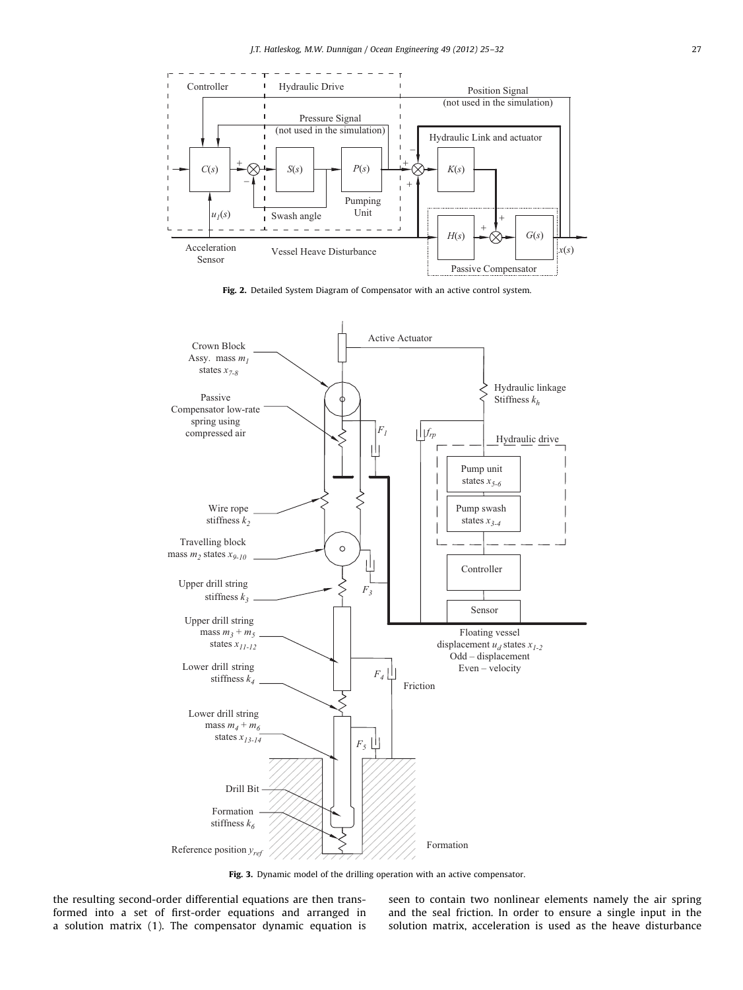<span id="page-3-0"></span>

Fig. 2. Detailed System Diagram of Compensator with an active control system.



Fig. 3. Dynamic model of the drilling operation with an active compensator.

the resulting second-order differential equations are then transformed into a set of first-order equations and arranged in a solution matrix (1). The compensator dynamic equation is seen to contain two nonlinear elements namely the air spring and the seal friction. In order to ensure a single input in the solution matrix, acceleration is used as the heave disturbance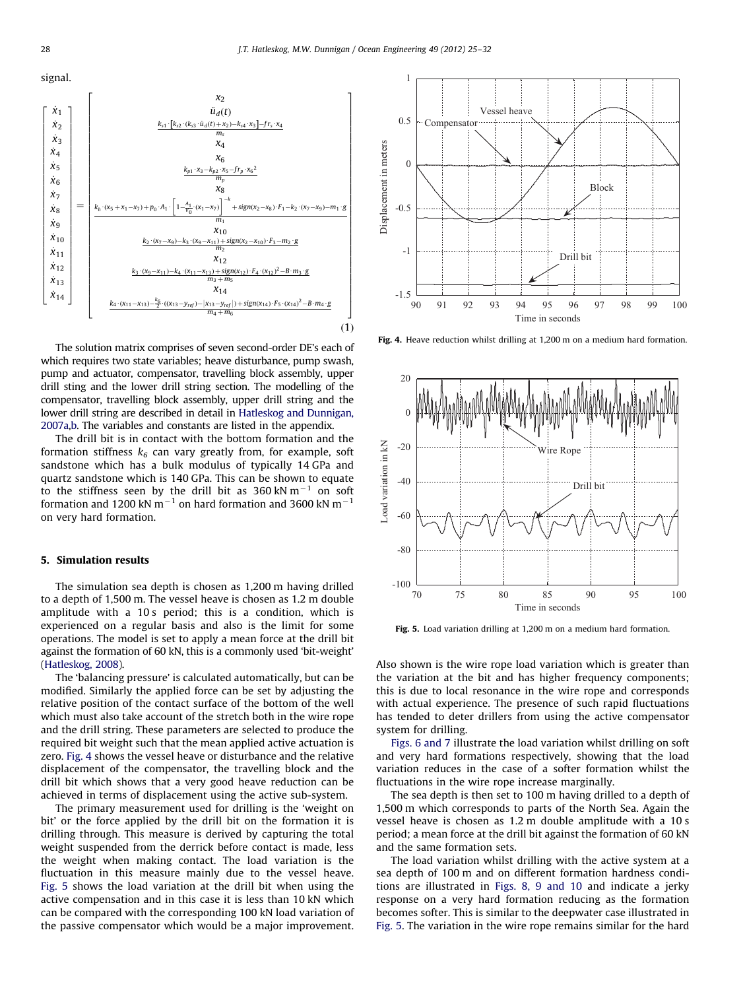signal.



The solution matrix comprises of seven second-order DE's each of which requires two state variables; heave disturbance, pump swash, pump and actuator, compensator, travelling block assembly, upper drill sting and the lower drill string section. The modelling of the compensator, travelling block assembly, upper drill string and the lower drill string are described in detail in [Hatleskog and Dunnigan,](#page-8-0) [2007a,b](#page-8-0). The variables and constants are listed in the appendix.

The drill bit is in contact with the bottom formation and the formation stiffness  $k_6$  can vary greatly from, for example, soft sandstone which has a bulk modulus of typically 14 GPa and quartz sandstone which is 140 GPa. This can be shown to equate to the stiffness seen by the drill bit as  $360 \, \text{kN m}^{-1}$  on soft formation and 1200 kN m $^{-1}$  on hard formation and 3600 kN m $^{-1}$ on very hard formation.

#### 5. Simulation results

The simulation sea depth is chosen as 1,200 m having drilled to a depth of 1,500 m. The vessel heave is chosen as 1.2 m double amplitude with a 10 s period; this is a condition, which is experienced on a regular basis and also is the limit for some operations. The model is set to apply a mean force at the drill bit against the formation of 60 kN, this is a commonly used 'bit-weight' ([Hatleskog, 2008](#page-8-0)).

The 'balancing pressure' is calculated automatically, but can be modified. Similarly the applied force can be set by adjusting the relative position of the contact surface of the bottom of the well which must also take account of the stretch both in the wire rope and the drill string. These parameters are selected to produce the required bit weight such that the mean applied active actuation is zero. Fig. 4 shows the vessel heave or disturbance and the relative displacement of the compensator, the travelling block and the drill bit which shows that a very good heave reduction can be achieved in terms of displacement using the active sub-system.

The primary measurement used for drilling is the 'weight on bit' or the force applied by the drill bit on the formation it is drilling through. This measure is derived by capturing the total weight suspended from the derrick before contact is made, less the weight when making contact. The load variation is the fluctuation in this measure mainly due to the vessel heave. Fig. 5 shows the load variation at the drill bit when using the active compensation and in this case it is less than 10 kN which can be compared with the corresponding 100 kN load variation of the passive compensator which would be a major improvement.



Fig. 4. Heave reduction whilst drilling at 1,200 m on a medium hard formation.



Fig. 5. Load variation drilling at 1,200 m on a medium hard formation.

Also shown is the wire rope load variation which is greater than the variation at the bit and has higher frequency components; this is due to local resonance in the wire rope and corresponds with actual experience. The presence of such rapid fluctuations has tended to deter drillers from using the active compensator system for drilling.

[Figs. 6 and 7](#page-5-0) illustrate the load variation whilst drilling on soft and very hard formations respectively, showing that the load variation reduces in the case of a softer formation whilst the fluctuations in the wire rope increase marginally.

The sea depth is then set to 100 m having drilled to a depth of 1,500 m which corresponds to parts of the North Sea. Again the vessel heave is chosen as 1.2 m double amplitude with a 10 s period; a mean force at the drill bit against the formation of 60 kN and the same formation sets.

The load variation whilst drilling with the active system at a sea depth of 100 m and on different formation hardness conditions are illustrated in [Figs. 8, 9 and 10](#page-5-0) and indicate a jerky response on a very hard formation reducing as the formation becomes softer. This is similar to the deepwater case illustrated in Fig. 5. The variation in the wire rope remains similar for the hard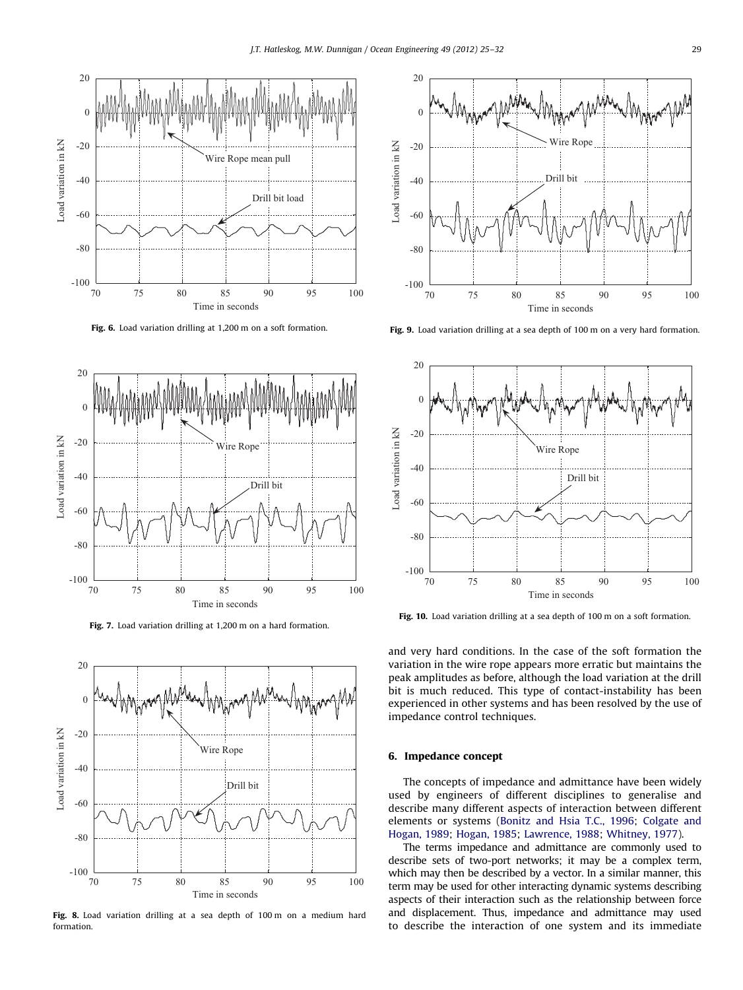<span id="page-5-0"></span>

Fig. 6. Load variation drilling at 1,200 m on a soft formation.



Fig. 7. Load variation drilling at 1,200 m on a hard formation.



Fig. 8. Load variation drilling at a sea depth of 100 m on a medium hard formation.



Fig. 9. Load variation drilling at a sea depth of 100 m on a very hard formation.



Fig. 10. Load variation drilling at a sea depth of 100 m on a soft formation.

and very hard conditions. In the case of the soft formation the variation in the wire rope appears more erratic but maintains the peak amplitudes as before, although the load variation at the drill bit is much reduced. This type of contact-instability has been experienced in other systems and has been resolved by the use of impedance control techniques.

## 6. Impedance concept

The concepts of impedance and admittance have been widely used by engineers of different disciplines to generalise and describe many different aspects of interaction between different elements or systems [\(Bonitz and Hsia T.C., 1996](#page-8-0); [Colgate and](#page-8-0) [Hogan, 1989](#page-8-0); [Hogan, 1985;](#page-8-0) [Lawrence, 1988;](#page-8-0) [Whitney, 1977\)](#page-8-0).

The terms impedance and admittance are commonly used to describe sets of two-port networks; it may be a complex term, which may then be described by a vector. In a similar manner, this term may be used for other interacting dynamic systems describing aspects of their interaction such as the relationship between force and displacement. Thus, impedance and admittance may used to describe the interaction of one system and its immediate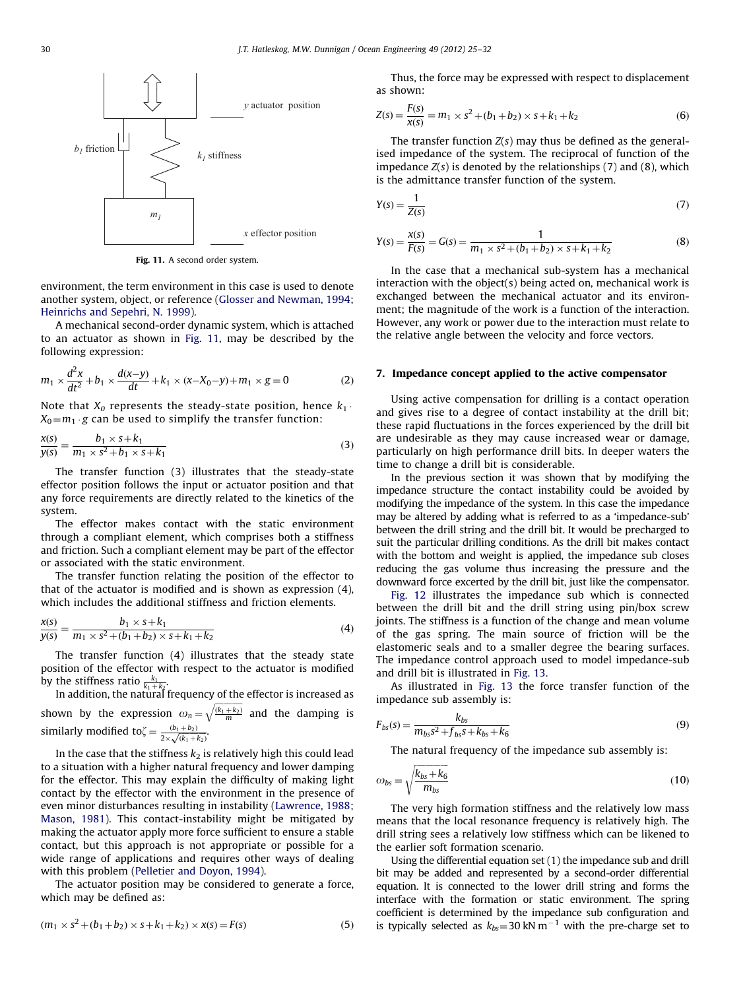

Fig. 11. A second order system.

environment, the term environment in this case is used to denote another system, object, or reference ([Glosser and Newman, 1994;](#page-8-0) [Heinrichs and Sepehri, N. 1999\)](#page-8-0).

A mechanical second-order dynamic system, which is attached to an actuator as shown in Fig. 11, may be described by the following expression:

$$
m_1 \times \frac{d^2x}{dt^2} + b_1 \times \frac{d(x-y)}{dt} + k_1 \times (x - X_0 - y) + m_1 \times g = 0
$$
 (2)

Note that  $X_0$  represents the steady-state position, hence  $k_1$ .  $X_0 = m_1 \cdot g$  can be used to simplify the transfer function:

$$
\frac{x(s)}{y(s)} = \frac{b_1 \times s + k_1}{m_1 \times s^2 + b_1 \times s + k_1} \tag{3}
$$

The transfer function (3) illustrates that the steady-state effector position follows the input or actuator position and that any force requirements are directly related to the kinetics of the system.

The effector makes contact with the static environment through a compliant element, which comprises both a stiffness and friction. Such a compliant element may be part of the effector or associated with the static environment.

The transfer function relating the position of the effector to that of the actuator is modified and is shown as expression (4), which includes the additional stiffness and friction elements.

$$
\frac{x(s)}{y(s)} = \frac{b_1 \times s + k_1}{m_1 \times s^2 + (b_1 + b_2) \times s + k_1 + k_2}
$$
(4)

The transfer function (4) illustrates that the steady state position of the effector with respect to the actuator is modified by the stiffness ratio  $\frac{k_1}{k_1+k_2}$ .

In addition, the natural frequency of the effector is increased as shown by the expression  $\omega_n = \sqrt{\frac{(k_1 + k_2)}{m}}$  $\sqrt{\frac{(k_1+k_2)}{m}}$  and the damping is similarly modified to $\zeta = \frac{(b_1 + b_2)}{2 \times \sqrt{(k_1 + k_2)}}$ .

In the case that the stiffness  $k_2$  is relatively high this could lead to a situation with a higher natural frequency and lower damping for the effector. This may explain the difficulty of making light contact by the effector with the environment in the presence of even minor disturbances resulting in instability ([Lawrence, 1988;](#page-8-0) [Mason, 1981](#page-8-0)). This contact-instability might be mitigated by making the actuator apply more force sufficient to ensure a stable contact, but this approach is not appropriate or possible for a wide range of applications and requires other ways of dealing with this problem [\(Pelletier and Doyon, 1994\)](#page-8-0).

The actuator position may be considered to generate a force, which may be defined as:

$$
(m_1 \times s^2 + (b_1 + b_2) \times s + k_1 + k_2) \times x(s) = F(s)
$$
\n(5)

Thus, the force may be expressed with respect to displacement as shown:

$$
Z(s) = \frac{F(s)}{x(s)} = m_1 \times s^2 + (b_1 + b_2) \times s + k_1 + k_2
$$
 (6)

The transfer function  $Z(s)$  may thus be defined as the generalised impedance of the system. The reciprocal of function of the impedance  $Z(s)$  is denoted by the relationships  $(7)$  and  $(8)$ , which is the admittance transfer function of the system.

$$
Y(s) = \frac{1}{Z(s)}\tag{7}
$$

$$
Y(s) = \frac{x(s)}{F(s)} = G(s) = \frac{1}{m_1 \times s^2 + (b_1 + b_2) \times s + k_1 + k_2}
$$
(8)

In the case that a mechanical sub-system has a mechanical interaction with the object(s) being acted on, mechanical work is exchanged between the mechanical actuator and its environment; the magnitude of the work is a function of the interaction. However, any work or power due to the interaction must relate to the relative angle between the velocity and force vectors.

### 7. Impedance concept applied to the active compensator

Using active compensation for drilling is a contact operation and gives rise to a degree of contact instability at the drill bit; these rapid fluctuations in the forces experienced by the drill bit are undesirable as they may cause increased wear or damage, particularly on high performance drill bits. In deeper waters the time to change a drill bit is considerable.

In the previous section it was shown that by modifying the impedance structure the contact instability could be avoided by modifying the impedance of the system. In this case the impedance may be altered by adding what is referred to as a 'impedance-sub' between the drill string and the drill bit. It would be precharged to suit the particular drilling conditions. As the drill bit makes contact with the bottom and weight is applied, the impedance sub closes reducing the gas volume thus increasing the pressure and the downward force excerted by the drill bit, just like the compensator.

[Fig. 12](#page-7-0) illustrates the impedance sub which is connected between the drill bit and the drill string using pin/box screw joints. The stiffness is a function of the change and mean volume of the gas spring. The main source of friction will be the elastomeric seals and to a smaller degree the bearing surfaces. The impedance control approach used to model impedance-sub and drill bit is illustrated in [Fig. 13.](#page-7-0)

As illustrated in [Fig. 13](#page-7-0) the force transfer function of the impedance sub assembly is:

$$
F_{bs}(s) = \frac{k_{bs}}{m_{bs}s^2 + f_{bs}s + k_{bs} + k_6}
$$
\n(9)

The natural frequency of the impedance sub assembly is:

$$
\omega_{bs} = \sqrt{\frac{k_{bs} + k_6}{m_{bs}}} \tag{10}
$$

The very high formation stiffness and the relatively low mass means that the local resonance frequency is relatively high. The drill string sees a relatively low stiffness which can be likened to the earlier soft formation scenario.

Using the differential equation set (1) the impedance sub and drill bit may be added and represented by a second-order differential equation. It is connected to the lower drill string and forms the interface with the formation or static environment. The spring coefficient is determined by the impedance sub configuration and is typically selected as  $k_{bs} = 30$  kN m<sup>-1</sup> with the pre-charge set to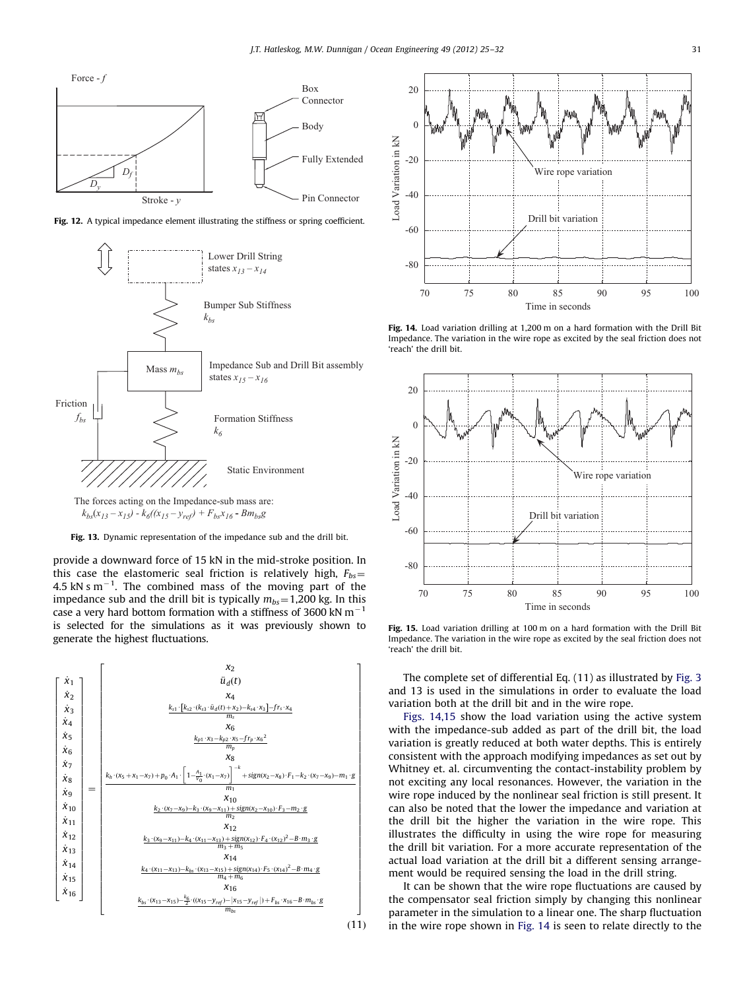<span id="page-7-0"></span>





The forces acting on the Impedance-sub mass are:  $k_{bs}(x_{13} - x_{15}) - k_6((x_{15} - y_{ref}) + F_{bs}x_{16} - Bm_{bs}g)$ 



provide a downward force of 15 kN in the mid-stroke position. In this case the elastomeric seal friction is relatively high,  $F_{bs}$  = 4.5 kN s  $m^{-1}$ . The combined mass of the moving part of the impedance sub and the drill bit is typically  $m_{bs} = 1,200$  kg. In this case a very hard bottom formation with a stiffness of 3600 kN  $\mathrm{m}^{-1}$ is selected for the simulations as it was previously shown to generate the highest fluctuations.





Fig. 14. Load variation drilling at 1,200 m on a hard formation with the Drill Bit Impedance. The variation in the wire rope as excited by the seal friction does not 'reach' the drill bit.



Fig. 15. Load variation drilling at 100 m on a hard formation with the Drill Bit Impedance. The variation in the wire rope as excited by the seal friction does not 'reach' the drill bit.

The complete set of differential Eq. (11) as illustrated by [Fig. 3](#page-3-0) and 13 is used in the simulations in order to evaluate the load variation both at the drill bit and in the wire rope.

Figs. 14,15 show the load variation using the active system with the impedance-sub added as part of the drill bit, the load variation is greatly reduced at both water depths. This is entirely consistent with the approach modifying impedances as set out by Whitney et. al. circumventing the contact-instability problem by not exciting any local resonances. However, the variation in the wire rope induced by the nonlinear seal friction is still present. It can also be noted that the lower the impedance and variation at the drill bit the higher the variation in the wire rope. This illustrates the difficulty in using the wire rope for measuring the drill bit variation. For a more accurate representation of the actual load variation at the drill bit a different sensing arrangement would be required sensing the load in the drill string.

It can be shown that the wire rope fluctuations are caused by the compensator seal friction simply by changing this nonlinear parameter in the simulation to a linear one. The sharp fluctuation in the wire rope shown in Fig. 14 is seen to relate directly to the